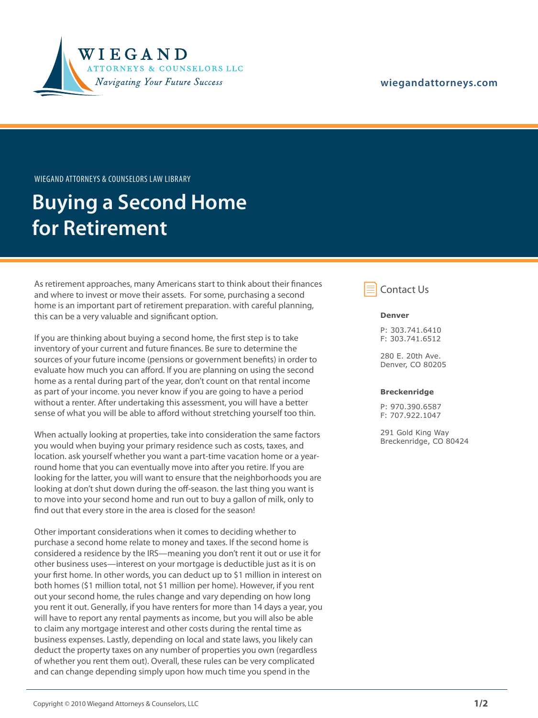

### **wiegandattorneys.com**

Wiegand Attorneys & Counselors Law Library

## **Buying a Second Home for Retirement**

As retirement approaches, many Americans start to think about their finances and where to invest or move their assets. For some, purchasing a second home is an important part of retirement preparation. with careful planning, this can be a very valuable and significant option.

If you are thinking about buying a second home, the first step is to take inventory of your current and future finances. Be sure to determine the sources of your future income (pensions or government benefits) in order to evaluate how much you can afford. If you are planning on using the second home as a rental during part of the year, don't count on that rental income as part of your income. you never know if you are going to have a period without a renter. After undertaking this assessment, you will have a better sense of what you will be able to afford without stretching yourself too thin.

When actually looking at properties, take into consideration the same factors you would when buying your primary residence such as costs, taxes, and location. ask yourself whether you want a part-time vacation home or a yearround home that you can eventually move into after you retire. If you are looking for the latter, you will want to ensure that the neighborhoods you are looking at don't shut down during the off-season. the last thing you want is to move into your second home and run out to buy a gallon of milk, only to find out that every store in the area is closed for the season!

Other important considerations when it comes to deciding whether to purchase a second home relate to money and taxes. If the second home is considered a residence by the IRS—meaning you don't rent it out or use it for other business uses—interest on your mortgage is deductible just as it is on your first home. In other words, you can deduct up to \$1 million in interest on both homes (\$1 million total, not \$1 million per home). However, if you rent out your second home, the rules change and vary depending on how long you rent it out. Generally, if you have renters for more than 14 days a year, you will have to report any rental payments as income, but you will also be able to claim any mortgage interest and other costs during the rental time as business expenses. Lastly, depending on local and state laws, you likely can deduct the property taxes on any number of properties you own (regardless of whether you rent them out). Overall, these rules can be very complicated and can change depending simply upon how much time you spend in the



#### **Denver**

P: 303.741.6410 F: 303.741.6512

280 E. 20th Ave. Denver, CO 80205

#### **Breckenridge**

P: 970.390.6587 F: 707.922.1047

291 Gold King Way Breckenridge, CO 80424